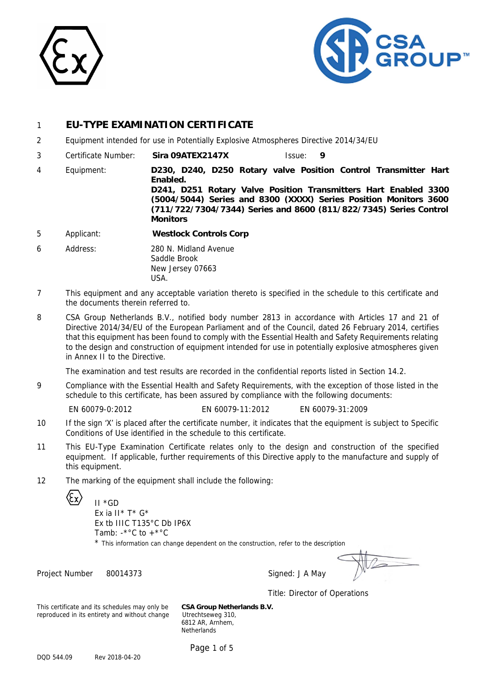



## 1 **EU-TYPE EXAMINATION CERTIFICATE**

- 2 Equipment intended for use in Potentially Explosive Atmospheres Directive 2014/34/EU
- 3 Certificate Number: **Sira 09ATEX2147X** Issue: **9**
- 4 Equipment: **D230, D240, D250 Rotary valve Position Control Transmitter Hart Enabled. D241, D251 Rotary Valve Position Transmitters Hart Enabled 3300 (5004/5044) Series and 8300 (XXXX) Series Position Monitors 3600 (711/722/7304/7344) Series and 8600 (811/822/7345) Series Control Monitors**
- 5 Applicant: **Westlock Controls Corp**
- 6 Address: 280 N. Midland Avenue Saddle Brook New Jersey 07663 USA.
- 7 This equipment and any acceptable variation thereto is specified in the schedule to this certificate and the documents therein referred to.
- 8 CSA Group Netherlands B.V., notified body number 2813 in accordance with Articles 17 and 21 of Directive 2014/34/EU of the European Parliament and of the Council, dated 26 February 2014, certifies that this equipment has been found to comply with the Essential Health and Safety Requirements relating to the design and construction of equipment intended for use in potentially explosive atmospheres given in Annex II to the Directive.

The examination and test results are recorded in the confidential reports listed in Section 14.2.

9 Compliance with the Essential Health and Safety Requirements, with the exception of those listed in the schedule to this certificate, has been assured by compliance with the following documents:

- EN 60079-0:2012 EN 60079-11:2012 EN 60079-31:2009
- 10 If the sign 'X' is placed after the certificate number, it indicates that the equipment is subject to Specific Conditions of Use identified in the schedule to this certificate.
- 11 This EU-Type Examination Certificate relates only to the design and construction of the specified equipment. If applicable, further requirements of this Directive apply to the manufacture and supply of this equipment.
- 12 The marking of the equipment shall include the following:
	-

II \*GD Ex ia II  $*$  T  $*$  G  $*$ Ex tb IIIC T135°C Db IP6X Tamb:  $-$ \*°C to  $+$ \*°C

\* This information can change dependent on the construction, refer to the description

Project Number 80014373 Signed: J A May

Title: Director of Operations

This certificate and its schedules may only be **CSA Group Netherlands B.V.** reproduced in its entirety and without change Utrechtseweg 310,

6812 AR, Arnhem, **Netherlands**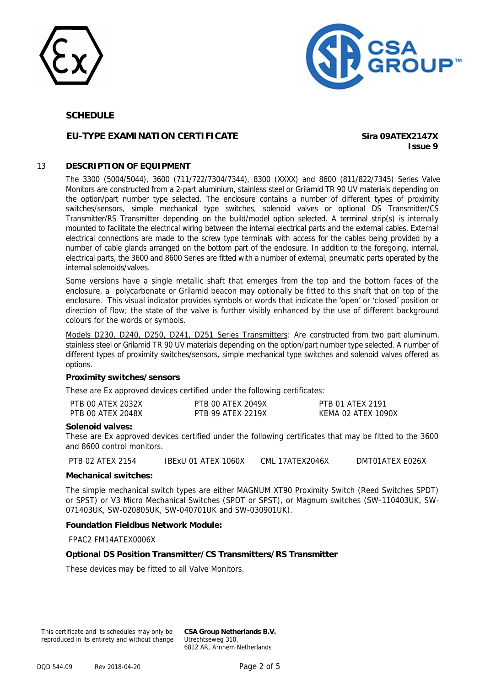



### **EU-TYPE EXAMINATION CERTIFICATE Sira 09ATEX2147X**

**Issue 9**

#### 13 **DESCRIPTION OF EQUIPMENT**

The 3300 (5004/5044), 3600 (711/722/7304/7344), 8300 (XXXX) and 8600 (811/822/7345) Series Valve Monitors are constructed from a 2-part aluminium, stainless steel or Grilamid TR 90 UV materials depending on the option/part number type selected. The enclosure contains a number of different types of proximity switches/sensors, simple mechanical type switches, solenoid valves or optional DS Transmitter/CS Transmitter/RS Transmitter depending on the build/model option selected. A terminal strip(s) is internally mounted to facilitate the electrical wiring between the internal electrical parts and the external cables. External electrical connections are made to the screw type terminals with access for the cables being provided by a number of cable glands arranged on the bottom part of the enclosure. In addition to the foregoing, internal, electrical parts, the 3600 and 8600 Series are fitted with a number of external, pneumatic parts operated by the internal solenoids/valves.

Some versions have a single metallic shaft that emerges from the top and the bottom faces of the enclosure, a polycarbonate or Grilamid beacon may optionally be fitted to this shaft that on top of the enclosure. This visual indicator provides symbols or words that indicate the 'open' or 'closed' position or direction of flow; the state of the valve is further visibly enhanced by the use of different background colours for the words or symbols.

Models D230, D240, D250, D241, D251 Series Transmitters: Are constructed from two part aluminum, stainless steel or Grilamid TR 90 UV materials depending on the option/part number type selected. A number of different types of proximity switches/sensors, simple mechanical type switches and solenoid valves offered as options.

#### **Proximity switches/sensors**

These are Ex approved devices certified under the following certificates:

| PTB 00 ATEX 2032X | PTB 00 ATEX 2049X        | PTB 01 ATEX 2191   |
|-------------------|--------------------------|--------------------|
| PTB 00 ATEX 2048X | <b>PTB 99 ATFX 2219X</b> | KEMA 02 ATEX 1090X |

#### **Solenoid valves:**

These are Ex approved devices certified under the following certificates that may be fitted to the 3600 and 8600 control monitors.

PTB 02 ATEX 2154 IBExU 01 ATEX 1060X CML 17ATEX2046X DMT01ATEX E026X

#### **Mechanical switches:**

The simple mechanical switch types are either MAGNUM XT90 Proximity Switch (Reed Switches SPDT) or SPST) or V3 Micro Mechanical Switches (SPDT or SPST), or Magnum switches (SW-110403UK, SW-071403UK, SW-020805UK, SW-040701UK and SW-030901UK).

#### **Foundation Fieldbus Network Module:**

FPAC2 FM14ATEX0006X

#### **Optional DS Position Transmitter/CS Transmitters/RS Transmitter**

These devices may be fitted to all Valve Monitors.

This certificate and its schedules may only be reproduced in its entirety and without change **CSA Group Netherlands B.V.** Utrechtseweg 310, 6812 AR, Arnhem Netherlands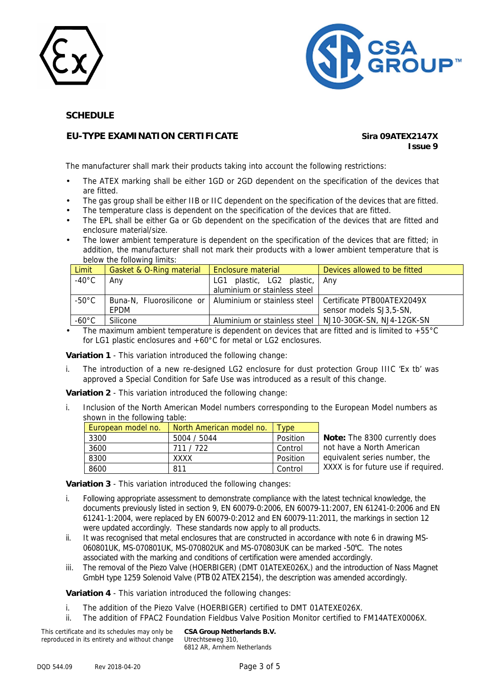



## **EU-TYPE EXAMINATION CERTIFICATE Sira 09ATEX2147X**

# **Issue 9**

The manufacturer shall mark their products taking into account the following restrictions:

- The ATEX marking shall be either 1GD or 2GD dependent on the specification of the devices that are fitted.
- The gas group shall be either IIB or IIC dependent on the specification of the devices that are fitted.
- The temperature class is dependent on the specification of the devices that are fitted.
- The EPL shall be either Ga or Gb dependent on the specification of the devices that are fitted and enclosure material/size.
- The lower ambient temperature is dependent on the specification of the devices that are fitted; in addition, the manufacturer shall not mark their products with a lower ambient temperature that is below the following limits:

| <b>Limit</b>     | <b>Gasket &amp; O-Ring material</b> | l Enclosure material                                                                  | Devices allowed to be fitted |
|------------------|-------------------------------------|---------------------------------------------------------------------------------------|------------------------------|
| $-40^{\circ}$ C  | Any                                 | plastic, LG2 plastic, Any<br>LG1                                                      |                              |
|                  |                                     | aluminium or stainless steel                                                          |                              |
| -50 $^{\circ}$ C |                                     | Buna-N, Fluorosilicone or   Aluminium or stainless steel   Certificate PTB00ATEX2049X |                              |
|                  | <b>FPDM</b>                         |                                                                                       | sensor models SJ3,5-SN,      |
| $-60^{\circ}$ C  | Silicone                            | Aluminium or stainless steel                                                          | NJ10-30GK-SN, NJ4-12GK-SN    |

The maximum ambient temperature is dependent on devices that are fitted and is limited to  $+55^{\circ}$ C for LG1 plastic enclosures and +60°C for metal or LG2 enclosures.

**Variation 1** - This variation introduced the following change:

i. The introduction of a new re-designed LG2 enclosure for dust protection Group IIIC 'Ex tb' was approved a Special Condition for Safe Use was introduced as a result of this change.

**Variation 2** - This variation introduced the following change:

i. Inclusion of the North American Model numbers corresponding to the European Model numbers as shown in the following table:

| European model no. | l North American model no. | Type     |                                     |
|--------------------|----------------------------|----------|-------------------------------------|
| 3300               | 5004 / 5044                | Position | Note: The 8300 currently does       |
| 3600               | 711 / 722                  | Control  | not have a North American           |
| 8300               | XXXX                       | Position | equivalent series number, the       |
| 8600               | 811                        | Control  | XXXX is for future use if required. |

**Variation 3** - This variation introduced the following changes:

- i. Following appropriate assessment to demonstrate compliance with the latest technical knowledge, the documents previously listed in section 9, EN 60079-0:2006, EN 60079-11:2007, EN 61241-0:2006 and EN 61241-1:2004, were replaced by EN 60079-0:2012 and EN 60079-11:2011, the markings in section 12 were updated accordingly. These standards now apply to all products.
- ii. It was recognised that metal enclosures that are constructed in accordance with note 6 in drawing MS-060801UK, MS-070801UK, MS-070802UK and MS-070803UK can be marked -50°C. The notes associated with the marking and conditions of certification were amended accordingly.
- iii. The removal of the Piezo Valve (HOERBIGER) (DMT 01ATEXE026X,) and the introduction of Nass Magnet GmbH type 1259 Solenoid Valve (PTB 02 ATEX 2154), the description was amended accordingly.

**Variation 4** - This variation introduced the following changes:

- i. The addition of the Piezo Valve (HOERBIGER) certified to DMT 01ATEXE026X.
- ii. The addition of FPAC2 Foundation Fieldbus Valve Position Monitor certified to FM14ATEX0006X.

This certificate and its schedules may only be reproduced in its entirety and without change **CSA Group Netherlands B.V.** Utrechtseweg 310, 6812 AR, Arnhem Netherlands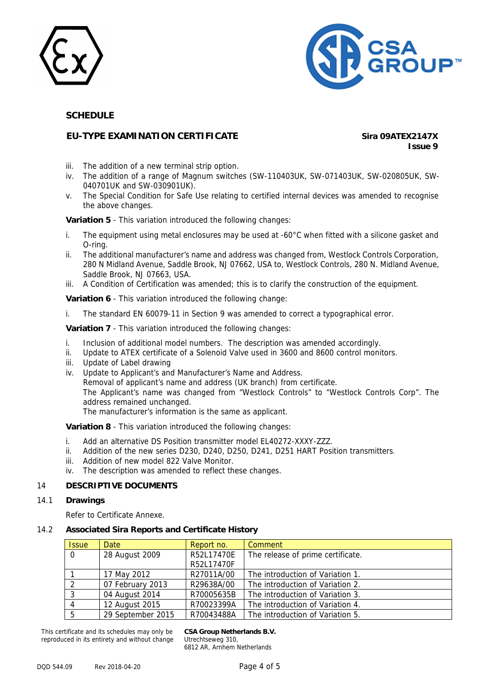



## **EU-TYPE EXAMINATION CERTIFICATE Sira 09ATEX2147X**

**Issue 9**

- iii. The addition of a new terminal strip option.
- iv. The addition of a range of Magnum switches (SW-110403UK, SW-071403UK, SW-020805UK, SW-040701UK and SW-030901UK).
- v. The Special Condition for Safe Use relating to certified internal devices was amended to recognise the above changes.

**Variation 5** - This variation introduced the following changes:

- i. The equipment using metal enclosures may be used at -60°C when fitted with a silicone gasket and O-ring.
- ii. The additional manufacturer's name and address was changed from, Westlock Controls Corporation, 280 N Midland Avenue, Saddle Brook, NJ 07662, USA to, Westlock Controls, 280 N. Midland Avenue, Saddle Brook, NJ 07663, USA.
- iii. A Condition of Certification was amended; this is to clarify the construction of the equipment.

**Variation 6** - This variation introduced the following change:

i. The standard EN 60079-11 in Section 9 was amended to correct a typographical error.

**Variation 7** - This variation introduced the following changes:

- i. Inclusion of additional model numbers. The description was amended accordingly.
- ii. Update to ATEX certificate of a Solenoid Valve used in 3600 and 8600 control monitors.
- iii. Update of Label drawing
- iv. Update to Applicant's and Manufacturer's Name and Address.

Removal of applicant's name and address (UK branch) from certificate.

The Applicant's name was changed from "Westlock Controls" to "Westlock Controls Corp". The address remained unchanged.

The manufacturer's information is the same as applicant.

**Variation 8** - This variation introduced the following changes:

- i. Add an alternative DS Position transmitter model EL40272-XXXY-ZZZ.
- ii. Addition of the new series D230, D240, D250, D241, D251 HART Position transmitters.
- iii. Addition of new model 822 Valve Monitor.
- iv. The description was amended to reflect these changes.

#### 14 **DESCRIPTIVE DOCUMENTS**

#### 14.1 **Drawings**

Refer to Certificate Annexe.

#### 14.2 **Associated Sira Reports and Certificate History**

| <b>Issue</b> | Date              | Report no. | Comment                           |
|--------------|-------------------|------------|-----------------------------------|
| $\Omega$     | 28 August 2009    | R52L17470E | The release of prime certificate. |
|              |                   | R52L17470F |                                   |
|              | 17 May 2012       | R27011A/00 | The introduction of Variation 1.  |
| 2            | 07 February 2013  | R29638A/00 | The introduction of Variation 2.  |
| 3            | 04 August 2014    | R70005635B | The introduction of Variation 3.  |
| 4            | 12 August 2015    | R70023399A | The introduction of Variation 4.  |
| -5           | 29 September 2015 | R70043488A | The introduction of Variation 5.  |

This certificate and its schedules may only be reproduced in its entirety and without change **CSA Group Netherlands B.V.** Utrechtseweg 310, 6812 AR, Arnhem Netherlands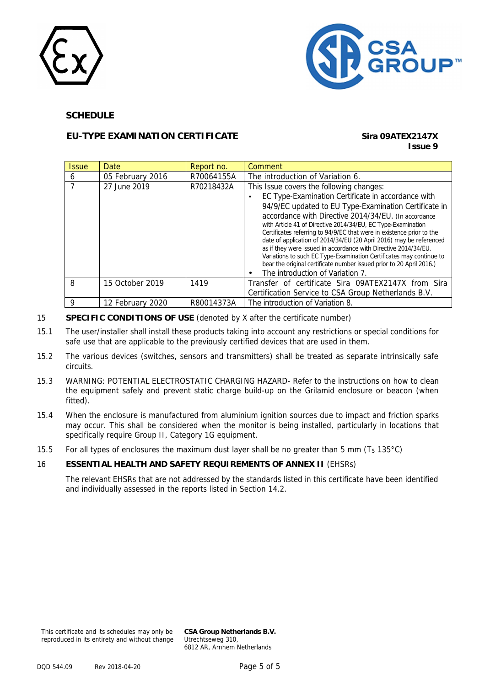



## **EU-TYPE EXAMINATION CERTIFICATE Sira 09ATEX2147X**

## **Issue 9**

| <i><b>Issue</b></i> | Date             | Report no. | Comment                                                                                                                                |
|---------------------|------------------|------------|----------------------------------------------------------------------------------------------------------------------------------------|
| 6                   | 05 February 2016 | R70064155A | The introduction of Variation 6.                                                                                                       |
|                     | 27 June 2019     | R70218432A | This Issue covers the following changes:                                                                                               |
|                     |                  |            | EC Type-Examination Certificate in accordance with                                                                                     |
|                     |                  |            | 94/9/EC updated to EU Type-Examination Certificate in                                                                                  |
|                     |                  |            | accordance with Directive 2014/34/EU. (In accordance                                                                                   |
|                     |                  |            | with Article 41 of Directive 2014/34/EU, EC Type-Examination                                                                           |
|                     |                  |            | Certificates referring to 94/9/EC that were in existence prior to the                                                                  |
|                     |                  |            | date of application of 2014/34/EU (20 April 2016) may be referenced<br>as if they were issued in accordance with Directive 2014/34/EU. |
|                     |                  |            | Variations to such EC Type-Examination Certificates may continue to                                                                    |
|                     |                  |            | bear the original certificate number issued prior to 20 April 2016.)                                                                   |
|                     |                  |            | The introduction of Variation 7.                                                                                                       |
| 8                   | 15 October 2019  | 1419       | Transfer of certificate Sira 09ATEX2147X from Sira                                                                                     |
|                     |                  |            | Certification Service to CSA Group Netherlands B.V.                                                                                    |
| Q                   | 12 February 2020 | R80014373A | The introduction of Variation 8.                                                                                                       |

- 15 **SPECIFIC CONDITIONS OF USE** (denoted by X after the certificate number)
- 15.1 The user/installer shall install these products taking into account any restrictions or special conditions for safe use that are applicable to the previously certified devices that are used in them.
- 15.2 The various devices (switches, sensors and transmitters) shall be treated as separate intrinsically safe circuits.
- 15.3 WARNING: POTENTIAL ELECTROSTATIC CHARGING HAZARD- Refer to the instructions on how to clean the equipment safely and prevent static charge build-up on the Grilamid enclosure or beacon (when fitted).
- 15.4 When the enclosure is manufactured from aluminium ignition sources due to impact and friction sparks may occur. This shall be considered when the monitor is being installed, particularly in locations that specifically require Group II, Category 1G equipment.
- 15.5 For all types of enclosures the maximum dust layer shall be no greater than 5 mm ( $T_5$  135°C)

#### 16 **ESSENTIAL HEALTH AND SAFETY REQUIREMENTS OF ANNEX II** (EHSRs)

The relevant EHSRs that are not addressed by the standards listed in this certificate have been identified and individually assessed in the reports listed in Section 14.2.

This certificate and its schedules may only be reproduced in its entirety and without change

**CSA Group Netherlands B.V.** Utrechtseweg 310, 6812 AR, Arnhem Netherlands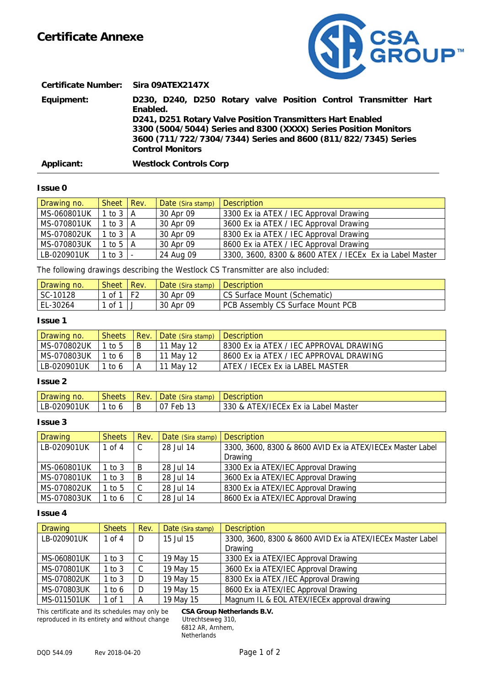

**Certificate Number: Sira 09ATEX2147X Equipment: D230, D240, D250 Rotary valve Position Control Transmitter Hart Enabled. D241, D251 Rotary Valve Position Transmitters Hart Enabled 3300 (5004/5044) Series and 8300 (XXXX) Series Position Monitors 3600 (711/722/7304/7344) Series and 8600 (811/822/7345) Series Control Monitors Applicant: Westlock Controls Corp** 

## **Issue 0**

 $\overline{a}$ 

| Drawing no. | Sheet   Rev.                 | Date (Sira stamp) | <b>Description</b>                                      |
|-------------|------------------------------|-------------------|---------------------------------------------------------|
| MS-060801UK | $1$ to $3 \nightharpoonup A$ | 30 Apr 09         | 3300 Ex ia ATEX / IEC Approval Drawing                  |
| MS-070801UK | 1 to $3 \mid A$              | 30 Apr 09         | 3600 Ex ia ATEX / IEC Approval Drawing                  |
| MS-070802UK | $1$ to $3 \nightharpoonup A$ | 30 Apr 09         | 8300 Ex ia ATEX / IEC Approval Drawing                  |
| MS-070803UK | 1 to 5 $\overline{A}$        | 30 Apr 09         | 8600 Ex ia ATEX / IEC Approval Drawing                  |
| LB-020901UK | $1$ to $3$   -               | 24 Aug 09         | 3300, 3600, 8300 & 8600 ATEX / IECEX Ex ia Label Master |

The following drawings describing the Westlock CS Transmitter are also included:

| Drawing no. | <b>Sheet</b> | Rev. | Date (Sira stamp) | <b>Description</b>                |
|-------------|--------------|------|-------------------|-----------------------------------|
| SC-10128    | 1 of 1       |      | 30 Apr 09         | CS Surface Mount (Schematic)      |
| EL-30264    | 1 of 1       |      | 30 Apr 09         | PCB Assembly CS Surface Mount PCB |

#### **Issue 1**

| Drawing no. | <b>Sheets</b> | Rev. | Date (Sira stamp) Description |                                           |
|-------------|---------------|------|-------------------------------|-------------------------------------------|
| MS-070802UK | 1 to 5        | B    | 11 May 12                     | 18300 Ex ia ATEX / IEC APPROVAL DRAWING   |
| MS-070803UK | 1 to 6        | B    | 11 May 12                     | l 8600 Ex ia ATEX / IEC APPROVAL DRAWING. |
| LB-020901UK | 1 to 6        | А    | 11 May 12                     | I ATEX / IECEx Ex ia LABEL MASTER         |

#### **Issue 2**

| Drawing no. | <b>Sheets</b> | Rev. | Date (Sira stamp)     | <b>Description</b>                  |
|-------------|---------------|------|-----------------------|-------------------------------------|
| LB-020901UK | to<br>h       |      | 0 <sub>1</sub><br>Feb | 330 & ATEX/IECEx Ex ia Label Master |

#### **Issue 3**

| <b>Drawing</b> | <b>Sheets</b> | Rev.   | Date (Sira stamp) | <b>Description</b>                                         |
|----------------|---------------|--------|-------------------|------------------------------------------------------------|
| LB-020901UK    | 1 of 4        | $\sim$ | 28 Jul 14         | 3300, 3600, 8300 & 8600 AVID Ex ia ATEX/IECEx Master Label |
|                |               |        |                   | Drawing                                                    |
| MS-060801UK    | 1 to 3        | B      | 28 Jul 14         | 3300 Ex ia ATEX/IEC Approval Drawing                       |
| MS-070801UK    | 1 to $3$      | B      | 28 Jul 14         | 3600 Ex ia ATEX/IEC Approval Drawing                       |
| MS-070802UK    | 1 to $5$      |        | 28 Jul 14         | 8300 Ex ia ATEX/IEC Approval Drawing                       |
| MS-070803UK    | 1 to 6        |        | 28 Jul 14         | 8600 Ex ia ATEX/IEC Approval Drawing                       |

#### **Issue 4**

| <b>Drawing</b>     | <b>Sheets</b> | Rev. | Date (Sira stamp) | <b>Description</b>                                         |
|--------------------|---------------|------|-------------------|------------------------------------------------------------|
| LB-020901UK        | 1 of $4$      | D    | 15 Jul 15         | 3300, 3600, 8300 & 8600 AVID Ex ia ATEX/IECEX Master Label |
|                    |               |      |                   | Drawing                                                    |
| <b>MS-060801UK</b> | 1 to 3        |      | 19 May 15         | 3300 Ex ia ATEX/IEC Approval Drawing                       |
| MS-070801UK        | 1 to $3$      |      | 19 May 15         | 3600 Ex ia ATEX/IEC Approval Drawing                       |
| MS-070802UK        | 1 to $3$      | D    | 19 May 15         | 8300 Ex ia ATEX / IEC Approval Drawing                     |
| MS-070803UK        | 1 to 6        | D    | 19 May 15         | 8600 Ex ia ATEX/IEC Approval Drawing                       |
| MS-011501UK        | 1 of 1        |      | 19 May 15         | Magnum IL & EOL ATEX/IECEx approval drawing                |

This certificate and its schedules may only be **CSA Group Netherlands B.V.** reproduced in its entirety and without change

6812 AR, Arnhem, **Netherlands**